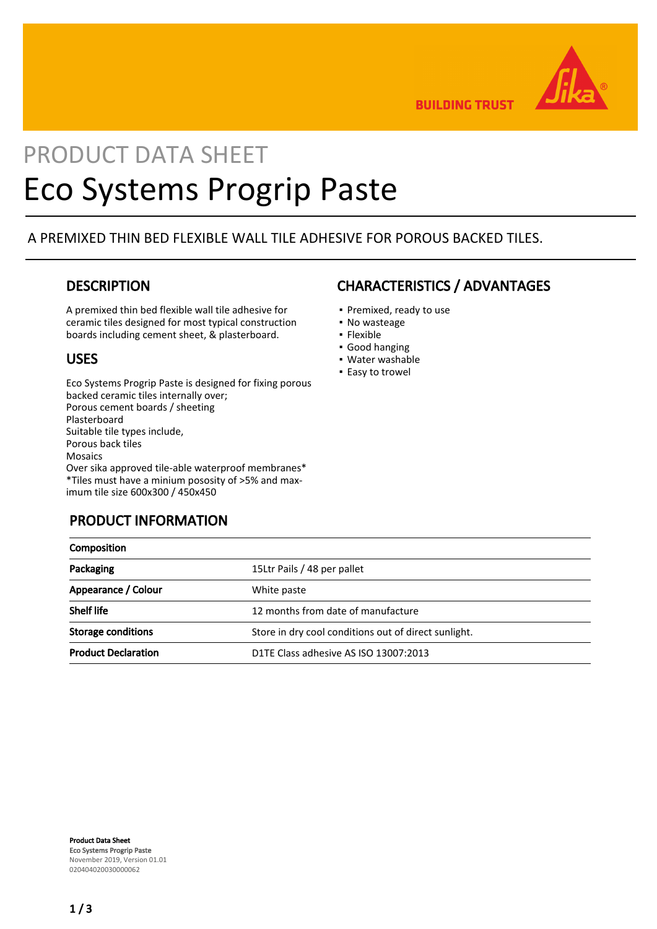

**BUILDING TRUST** 

# PRODUCT DATA SHEET Eco Systems Progrip Paste

### A PREMIXED THIN BED FLEXIBLE WALL TILE ADHESIVE FOR POROUS BACKED TILES.

### **DESCRIPTION**

A premixed thin bed flexible wall tile adhesive for ceramic tiles designed for most typical construction boards including cement sheet, & plasterboard.

### USES

Eco Systems Progrip Paste is designed for fixing porous backed ceramic tiles internally over; Porous cement boards / sheeting Plasterboard Suitable tile types include, Porous back tiles Mosaics Over sika approved tile-able waterproof membranes\* \*Tiles must have a minium pososity of >5% and maximum tile size 600x300 / 450x450

# PRODUCT INFORMATION

# CHARACTERISTICS / ADVANTAGES

- Premixed, ready to use
- No wasteage
- Flexible
- Good hanging
- Water washable
- **Easy to trowel**

| Composition                |                                                      |  |
|----------------------------|------------------------------------------------------|--|
| Packaging                  | 15Ltr Pails / 48 per pallet                          |  |
| Appearance / Colour        | White paste                                          |  |
| <b>Shelf life</b>          | 12 months from date of manufacture                   |  |
| <b>Storage conditions</b>  | Store in dry cool conditions out of direct sunlight. |  |
| <b>Product Declaration</b> | D1TE Class adhesive AS ISO 13007:2013                |  |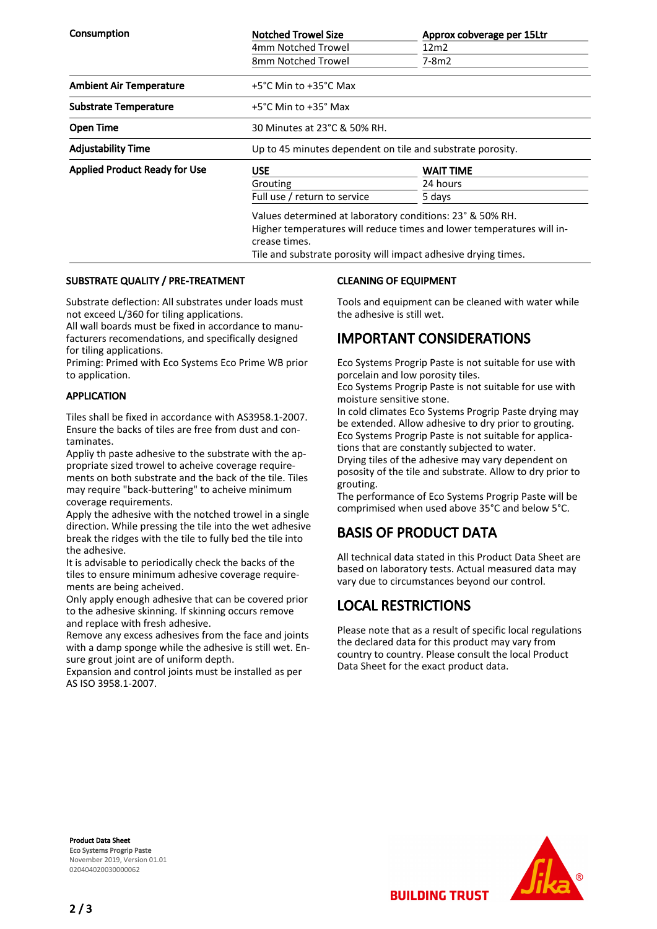| <b>Consumption</b>                   | <b>Notched Trowel Size</b>                                                                                                                                                                                            | Approx cobverage per 15Ltr |  |
|--------------------------------------|-----------------------------------------------------------------------------------------------------------------------------------------------------------------------------------------------------------------------|----------------------------|--|
|                                      | 4mm Notched Trowel                                                                                                                                                                                                    | 12m2                       |  |
|                                      | 8mm Notched Trowel                                                                                                                                                                                                    | 7-8m2                      |  |
| <b>Ambient Air Temperature</b>       | +5°C Min to +35°C Max                                                                                                                                                                                                 |                            |  |
| <b>Substrate Temperature</b>         | +5°C Min to +35° Max                                                                                                                                                                                                  |                            |  |
| <b>Open Time</b>                     | 30 Minutes at 23°C & 50% RH.                                                                                                                                                                                          |                            |  |
| <b>Adjustability Time</b>            | Up to 45 minutes dependent on tile and substrate porosity.                                                                                                                                                            |                            |  |
| <b>Applied Product Ready for Use</b> | <b>USE</b>                                                                                                                                                                                                            | WAIT TIME                  |  |
|                                      | Grouting                                                                                                                                                                                                              | 24 hours                   |  |
|                                      | Full use / return to service                                                                                                                                                                                          | 5 days                     |  |
|                                      | Values determined at laboratory conditions: 23° & 50% RH.<br>Higher temperatures will reduce times and lower temperatures will in-<br>crease times.<br>Tile and substrate porosity will impact adhesive drying times. |                            |  |

#### SUBSTRATE QUALITY / PRE-TREATMENT

Substrate deflection: All substrates under loads must not exceed L/360 for tiling applications.

All wall boards must be fixed in accordance to manufacturers recomendations, and specifically designed for tiling applications.

Priming: Primed with Eco Systems Eco Prime WB prior to application.

#### APPLICATION

Tiles shall be fixed in accordance with AS3958.1-2007. Ensure the backs of tiles are free from dust and contaminates.

Appliy th paste adhesive to the substrate with the appropriate sized trowel to acheive coverage requirements on both substrate and the back of the tile. Tiles may require "back-buttering" to acheive minimum coverage requirements.

Apply the adhesive with the notched trowel in a single direction. While pressing the tile into the wet adhesive break the ridges with the tile to fully bed the tile into the adhesive.

It is advisable to periodically check the backs of the tiles to ensure minimum adhesive coverage requirements are being acheived.

Only apply enough adhesive that can be covered prior to the adhesive skinning. If skinning occurs remove and replace with fresh adhesive.

Remove any excess adhesives from the face and joints with a damp sponge while the adhesive is still wet. Ensure grout joint are of uniform depth.

Expansion and control joints must be installed as per AS ISO 3958.1-2007.

#### CLEANING OF EQUIPMENT

Tools and equipment can be cleaned with water while the adhesive is still wet.

### IMPORTANT CONSIDERATIONS

Eco Systems Progrip Paste is not suitable for use with porcelain and low porosity tiles.

Eco Systems Progrip Paste is not suitable for use with moisture sensitive stone.

In cold climates Eco Systems Progrip Paste drying may be extended. Allow adhesive to dry prior to grouting. Eco Systems Progrip Paste is not suitable for applications that are constantly subjected to water.

Drying tiles of the adhesive may vary dependent on pososity of the tile and substrate. Allow to dry prior to grouting.

The performance of Eco Systems Progrip Paste will be comprimised when used above 35°C and below 5°C.

### BASIS OF PRODUCT DATA

All technical data stated in this Product Data Sheet are based on laboratory tests. Actual measured data may vary due to circumstances beyond our control.

### LOCAL RESTRICTIONS

Please note that as a result of specific local regulations the declared data for this product may vary from country to country. Please consult the local Product Data Sheet for the exact product data.

**BUILDING TRUST** 

Product Data Sheet Eco Systems Progrip Paste November 2019, Version 01.01 020404020030000062